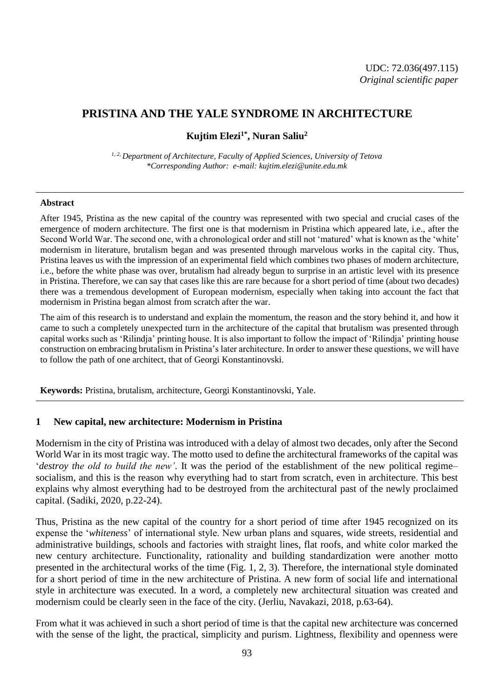# **PRISTINA AND THE YALE SYNDROME IN ARCHITECTURE**

**Kujtim Elezi1\*, Nuran Saliu<sup>2</sup>**

*1, 2, Department of Architecture, Faculty of Applied Sciences, University of Tetova \*Corresponding Author: e-mail: kujtim.elezi@unite.edu.mk*

#### **Abstract**

After 1945, Pristina as the new capital of the country was represented with two special and crucial cases of the emergence of modern architecture. The first one is that modernism in Pristina which appeared late, i.e., after the Second World War. The second one, with a chronological order and still not 'matured' what is known as the 'white' modernism in literature, brutalism began and was presented through marvelous works in the capital city. Thus, Pristina leaves us with the impression of an experimental field which combines two phases of modern architecture, i.e., before the white phase was over, brutalism had already begun to surprise in an artistic level with its presence in Pristina. Therefore, we can say that cases like this are rare because for a short period of time (about two decades) there was a tremendous development of European modernism, especially when taking into account the fact that modernism in Pristina began almost from scratch after the war.

The aim of this research is to understand and explain the momentum, the reason and the story behind it, and how it came to such a completely unexpected turn in the architecture of the capital that brutalism was presented through capital works such as 'Rilindja' printing house. It is also important to follow the impact of 'Rilindja' printing house construction on embracing brutalism in Pristina's later architecture. In order to answer these questions, we will have to follow the path of one architect, that of Georgi Konstantinovski.

**Keywords:** Pristina, brutalism, architecture, Georgi Konstantinovski, Yale.

### **1 New capital, new architecture: Modernism in Pristina**

Modernism in the city of Pristina was introduced with a delay of almost two decades, only after the Second World War in its most tragic way. The motto used to define the architectural frameworks of the capital was '*destroy the old to build the new'*. It was the period of the establishment of the new political regime– socialism, and this is the reason why everything had to start from scratch, even in architecture. This best explains why almost everything had to be destroyed from the architectural past of the newly proclaimed capital. (Sadiki, 2020, p.22-24).

Thus, Pristina as the new capital of the country for a short period of time after 1945 recognized on its expense the '*whiteness*' of international style. New urban plans and squares, wide streets, residential and administrative buildings, schools and factories with straight lines, flat roofs, and white color marked the new century architecture. Functionality, rationality and building standardization were another motto presented in the architectural works of the time (Fig. 1, 2, 3). Therefore, the international style dominated for a short period of time in the new architecture of Pristina. A new form of social life and international style in architecture was executed. In a word, a completely new architectural situation was created and modernism could be clearly seen in the face of the city. (Jerliu, Navakazi, 2018, p.63-64).

From what it was achieved in such a short period of time is that the capital new architecture was concerned with the sense of the light, the practical, simplicity and purism. Lightness, flexibility and openness were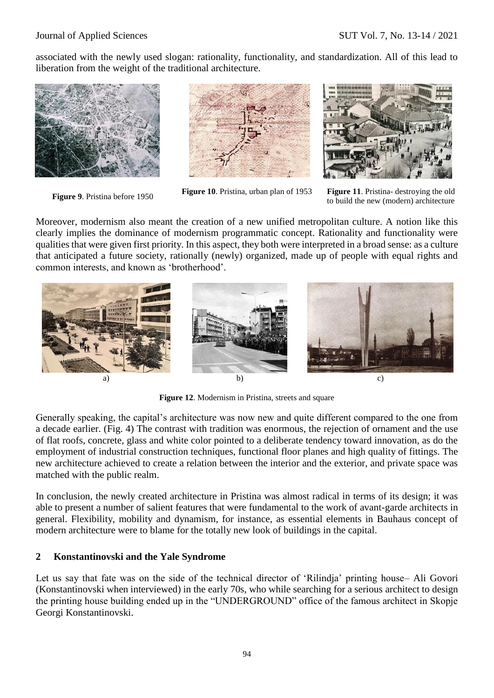associated with the newly used slogan: rationality, functionality, and standardization. All of this lead to liberation from the weight of the traditional architecture.







**Figure 9**. Pristina before 1950 **Figure <sup>10</sup>**. Pristina, urban plan of 1953 **Figure <sup>11</sup>**. Pristina- destroying the old to build the new (modern) architecture

Moreover, modernism also meant the creation of a new unified metropolitan culture. A notion like this clearly implies the dominance of modernism programmatic concept. Rationality and functionality were qualities that were given first priority. In this aspect, they both were interpreted in a broad sense: as a culture that anticipated a future society, rationally (newly) organized, made up of people with equal rights and common interests, and known as 'brotherhood'.



**Figure 12**. Modernism in Pristina, streets and square

Generally speaking, the capital's architecture was now new and quite different compared to the one from a decade earlier. (Fig. 4) The contrast with tradition was enormous, the rejection of ornament and the use of flat roofs, concrete, glass and white color pointed to a deliberate tendency toward innovation, as do the employment of industrial construction techniques, functional floor planes and high quality of fittings. The new architecture achieved to create a relation between the interior and the exterior, and private space was matched with the public realm.

In conclusion, the newly created architecture in Pristina was almost radical in terms of its design; it was able to present a number of salient features that were fundamental to the work of avant-garde architects in general. Flexibility, mobility and dynamism, for instance, as essential elements in Bauhaus concept of modern architecture were to blame for the totally new look of buildings in the capital.

### **2 Konstantinovski and the Yale Syndrome**

Let us say that fate was on the side of the technical director of 'Rilindja' printing house– Ali Govori (Konstantinovski when interviewed) in the early 70s, who while searching for a serious architect to design the printing house building ended up in the "UNDERGROUND" office of the famous architect in Skopje Georgi Konstantinovski.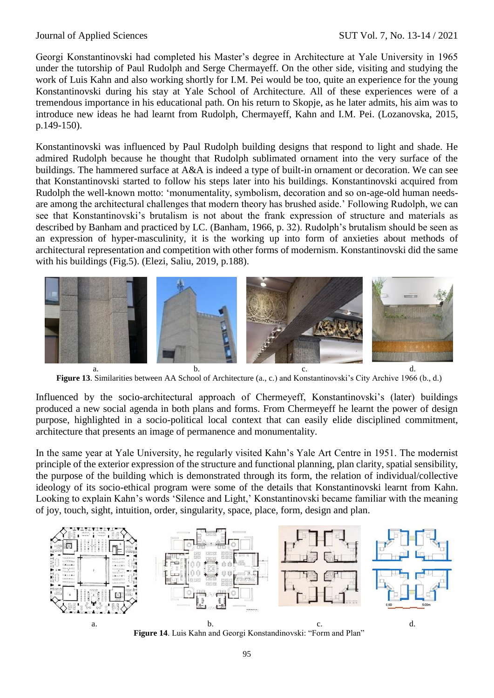Georgi Konstantinovski had completed his Master's degree in Architecture at Yale University in 1965 under the tutorship of Paul Rudolph and Serge Chermayeff. On the other side, visiting and studying the work of Luis Kahn and also working shortly for I.M. Pei would be too, quite an experience for the young Konstantinovski during his stay at Yale School of Architecture. All of these experiences were of a tremendous importance in his educational path. On his return to Skopje, as he later admits, his aim was to introduce new ideas he had learnt from Rudolph, Chermayeff, Kahn and I.M. Pei. (Lozanovska, 2015, p.149-150).

Konstantinovski was influenced by Paul Rudolph building designs that respond to light and shade. He admired Rudolph because he thought that Rudolph sublimated ornament into the very surface of the buildings. The hammered surface at A&A is indeed a type of built-in ornament or decoration. We can see that Konstantinovski started to follow his steps later into his buildings. Konstantinovski acquired from Rudolph the well-known motto: 'monumentality, symbolism, decoration and so on-age-old human needsare among the architectural challenges that modern theory has brushed aside.' Following Rudolph, we can see that Konstantinovski's brutalism is not about the frank expression of structure and materials as described by Banham and practiced by LC. (Banham, 1966, p. 32). Rudolph's brutalism should be seen as an expression of hyper-masculinity, it is the working up into form of anxieties about methods of architectural representation and competition with other forms of modernism. Konstantinovski did the same with his buildings (Fig.5). (Elezi, Saliu, 2019, p.188).



**Figure 13**. Similarities between AA School of Architecture (a., c.) and Konstantinovski's City Archive 1966 (b., d.)

Influenced by the socio-architectural approach of Chermeyeff, Konstantinovski's (later) buildings produced a new social agenda in both plans and forms. From Chermeyeff he learnt the power of design purpose, highlighted in a socio-political local context that can easily elide disciplined commitment, architecture that presents an image of permanence and monumentality.

In the same year at Yale University, he regularly visited Kahn's Yale Art Centre in 1951. The modernist principle of the exterior expression of the structure and functional planning, plan clarity, spatial sensibility, the purpose of the building which is demonstrated through its form, the relation of individual/collective ideology of its socio-ethical program were some of the details that Konstantinovski learnt from Kahn. Looking to explain Kahn's words 'Silence and Light,' Konstantinovski became familiar with the meaning of joy, touch, sight, intuition, order, singularity, space, place, form, design and plan.



**Figure 14**. Luis Kahn and Georgi Konstandinovski: "Form and Plan"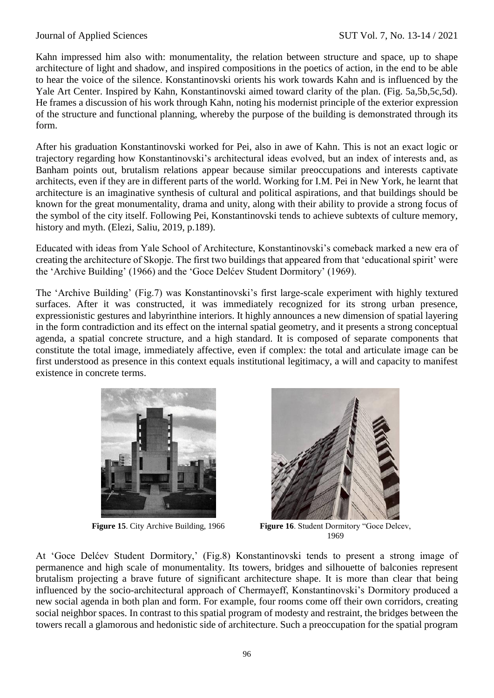Kahn impressed him also with: monumentality, the relation between structure and space, up to shape architecture of light and shadow, and inspired compositions in the poetics of action, in the end to be able to hear the voice of the silence. Konstantinovski orients his work towards Kahn and is influenced by the Yale Art Center. Inspired by Kahn, Konstantinovski aimed toward clarity of the plan. (Fig. 5a,5b,5c,5d). He frames a discussion of his work through Kahn, noting his modernist principle of the exterior expression of the structure and functional planning, whereby the purpose of the building is demonstrated through its form.

After his graduation Konstantinovski worked for Pei, also in awe of Kahn. This is not an exact logic or trajectory regarding how Konstantinovski's architectural ideas evolved, but an index of interests and, as Banham points out, brutalism relations appear because similar preoccupations and interests captivate architects, even if they are in different parts of the world. Working for I.M. Pei in New York, he learnt that architecture is an imaginative synthesis of cultural and political aspirations, and that buildings should be known for the great monumentality, drama and unity, along with their ability to provide a strong focus of the symbol of the city itself. Following Pei, Konstantinovski tends to achieve subtexts of culture memory, history and myth. (Elezi, Saliu, 2019, p.189).

Educated with ideas from Yale School of Architecture, Konstantinovski's comeback marked a new era of creating the architecture of Skopje. The first two buildings that appeared from that 'educational spirit' were the 'Archive Building' (1966) and the 'Goce Delćev Student Dormitory' (1969).

The 'Archive Building' (Fig.7) was Konstantinovski's first large-scale experiment with highly textured surfaces. After it was constructed, it was immediately recognized for its strong urban presence, expressionistic gestures and labyrinthine interiors. It highly announces a new dimension of spatial layering in the form contradiction and its effect on the internal spatial geometry, and it presents a strong conceptual agenda, a spatial concrete structure, and a high standard. It is composed of separate components that constitute the total image, immediately affective, even if complex: the total and articulate image can be first understood as presence in this context equals institutional legitimacy, a will and capacity to manifest existence in concrete terms.





**Figure 15**. City Archive Building, 1966 **Figure 16**. Student Dormitory "Goce Delcev, 1969

At 'Goce Delćev Student Dormitory,' (Fig.8) Konstantinovski tends to present a strong image of permanence and high scale of monumentality. Its towers, bridges and silhouette of balconies represent brutalism projecting a brave future of significant architecture shape. It is more than clear that being influenced by the socio-architectural approach of Chermayeff, Konstantinovski's Dormitory produced a new social agenda in both plan and form. For example, four rooms come off their own corridors, creating social neighbor spaces. In contrast to this spatial program of modesty and restraint, the bridges between the towers recall a glamorous and hedonistic side of architecture. Such a preoccupation for the spatial program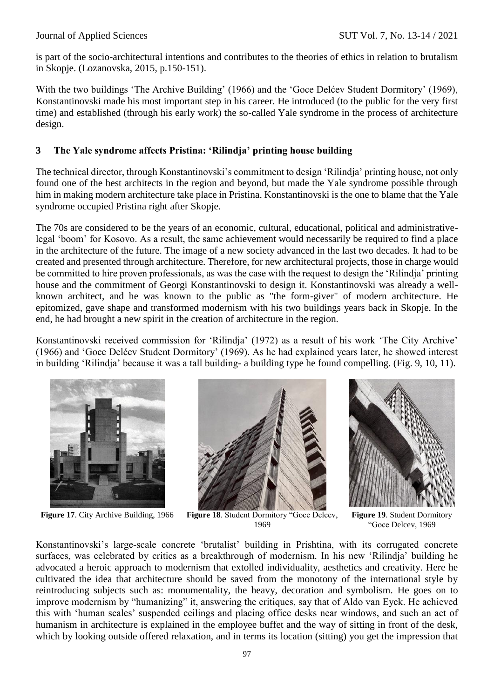is part of the socio-architectural intentions and contributes to the theories of ethics in relation to brutalism in Skopje. (Lozanovska, 2015, p.150-151).

With the two buildings 'The Archive Building' (1966) and the 'Goce Delćev Student Dormitory' (1969), Konstantinovski made his most important step in his career. He introduced (to the public for the very first time) and established (through his early work) the so-called Yale syndrome in the process of architecture design.

# **3 The Yale syndrome affects Pristina: 'Rilindja' printing house building**

The technical director, through Konstantinovski's commitment to design 'Rilindja' printing house, not only found one of the best architects in the region and beyond, but made the Yale syndrome possible through him in making modern architecture take place in Pristina. Konstantinovski is the one to blame that the Yale syndrome occupied Pristina right after Skopje.

The 70s are considered to be the years of an economic, cultural, educational, political and administrativelegal 'boom' for Kosovo. As a result, the same achievement would necessarily be required to find a place in the architecture of the future. The image of a new society advanced in the last two decades. It had to be created and presented through architecture. Therefore, for new architectural projects, those in charge would be committed to hire proven professionals, as was the case with the request to design the 'Rilindja' printing house and the commitment of Georgi Konstantinovski to design it. Konstantinovski was already a wellknown architect, and he was known to the public as "the form-giver" of modern architecture. He epitomized, gave shape and transformed modernism with his two buildings years back in Skopje. In the end, he had brought a new spirit in the creation of architecture in the region.

Konstantinovski received commission for 'Rilindja' (1972) as a result of his work 'The City Archive' (1966) and 'Goce Delćev Student Dormitory' (1969). As he had explained years later, he showed interest in building 'Rilindja' because it was a tall building- a building type he found compelling. (Fig. 9, 10, 11).





**Figure 17**. City Archive Building, 1966 **Figure 18**. Student Dormitory "Goce Delcev, 1969



**Figure 19**. Student Dormitory "Goce Delcev, 1969

Konstantinovski's large-scale concrete 'brutalist' building in Prishtina, with its corrugated concrete surfaces, was celebrated by critics as a breakthrough of modernism. In his new 'Rilindja' building he advocated a heroic approach to modernism that extolled individuality, aesthetics and creativity. Here he cultivated the idea that architecture should be saved from the monotony of the international style by reintroducing subjects such as: monumentality, the heavy, decoration and symbolism. He goes on to improve modernism by "humanizing" it, answering the critiques, say that of Aldo van Eyck. He achieved this with 'human scales' suspended ceilings and placing office desks near windows, and such an act of humanism in architecture is explained in the employee buffet and the way of sitting in front of the desk, which by looking outside offered relaxation, and in terms its location (sitting) you get the impression that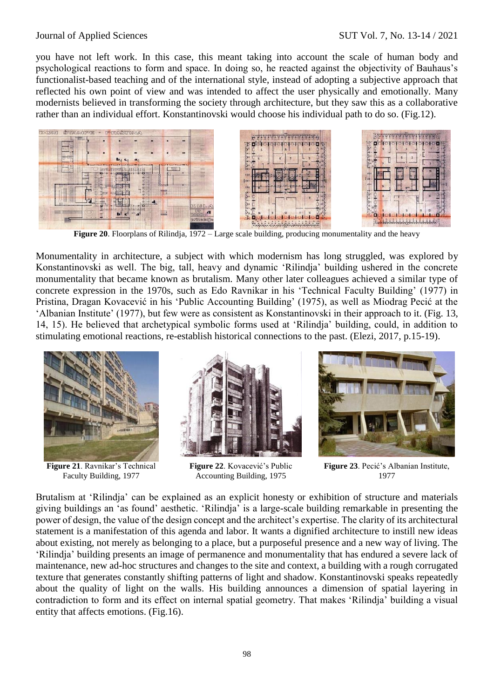you have not left work. In this case, this meant taking into account the scale of human body and psychological reactions to form and space. In doing so, he reacted against the objectivity of Bauhaus's functionalist-based teaching and of the international style, instead of adopting a subjective approach that reflected his own point of view and was intended to affect the user physically and emotionally. Many modernists believed in transforming the society through architecture, but they saw this as a collaborative rather than an individual effort. Konstantinovski would choose his individual path to do so. (Fig.12).



**Figure 20**. Floorplans of Rilindja, 1972 – Large scale building, producing monumentality and the heavy

Monumentality in architecture, a subject with which modernism has long struggled, was explored by Konstantinovski as well. The big, tall, heavy and dynamic 'Rilindja' building ushered in the concrete monumentality that became known as brutalism. Many other later colleagues achieved a similar type of concrete expression in the 1970s, such as Edo Ravnikar in his 'Technical Faculty Building' (1977) in Pristina, Dragan Kovacević in his 'Public Accounting Building' (1975), as well as Miodrag Pecić at the 'Albanian Institute' (1977), but few were as consistent as Konstantinovski in their approach to it. (Fig. 13, 14, 15). He believed that archetypical symbolic forms used at 'Rilindja' building, could, in addition to stimulating emotional reactions, re-establish historical connections to the past. (Elezi, 2017, p.15-19).



**Figure 21**. Ravnikar's Technical Faculty Building, 1977



**Figure 22**. Kovacević's Public Accounting Building, 1975



**Figure 23**. Pecić's Albanian Institute, 1977

Brutalism at 'Rilindja' can be explained as an explicit honesty or exhibition of structure and materials giving buildings an 'as found' aesthetic. 'Rilindja' is a large-scale building remarkable in presenting the power of design, the value of the design concept and the architect's expertise. The clarity of its architectural statement is a manifestation of this agenda and labor. It wants a dignified architecture to instill new ideas about existing, not merely as belonging to a place, but a purposeful presence and a new way of living. The 'Rilindja' building presents an image of permanence and monumentality that has endured a severe lack of maintenance, new ad-hoc structures and changes to the site and context, a building with a rough corrugated texture that generates constantly shifting patterns of light and shadow. Konstantinovski speaks repeatedly about the quality of light on the walls. His building announces a dimension of spatial layering in contradiction to form and its effect on internal spatial geometry. That makes 'Rilindja' building a visual entity that affects emotions. (Fig.16).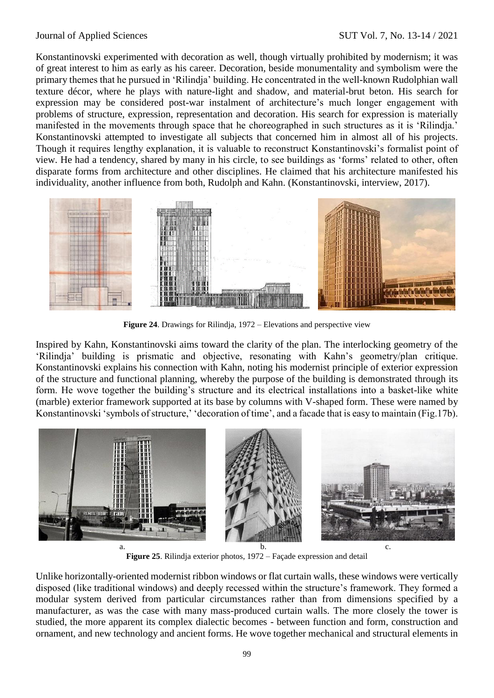Konstantinovski experimented with decoration as well, though virtually prohibited by modernism; it was of great interest to him as early as his career. Decoration, beside monumentality and symbolism were the primary themes that he pursued in 'Rilindja' building. He concentrated in the well-known Rudolphian wall texture décor, where he plays with nature-light and shadow, and material-brut beton. His search for expression may be considered post-war instalment of architecture's much longer engagement with problems of structure, expression, representation and decoration. His search for expression is materially manifested in the movements through space that he choreographed in such structures as it is 'Rilindja.' Konstantinovski attempted to investigate all subjects that concerned him in almost all of his projects. Though it requires lengthy explanation, it is valuable to reconstruct Konstantinovski's formalist point of view. He had a tendency, shared by many in his circle, to see buildings as 'forms' related to other, often disparate forms from architecture and other disciplines. He claimed that his architecture manifested his individuality, another influence from both, Rudolph and Kahn. (Konstantinovski, interview, 2017).



**Figure 24**. Drawings for Rilindja, 1972 – Elevations and perspective view

Inspired by Kahn, Konstantinovski aims toward the clarity of the plan. The interlocking geometry of the 'Rilindja' building is prismatic and objective, resonating with Kahn's geometry/plan critique. Konstantinovski explains his connection with Kahn, noting his modernist principle of exterior expression of the structure and functional planning, whereby the purpose of the building is demonstrated through its form. He wove together the building's structure and its electrical installations into a basket-like white (marble) exterior framework supported at its base by columns with V-shaped form. These were named by Konstantinovski 'symbols of structure,' 'decoration of time', and a facade that is easy to maintain (Fig.17b).



**Figure 25**. Rilindja exterior photos, 1972 – Façade expression and detail

Unlike horizontally-oriented modernist ribbon windows or flat curtain walls, these windows were vertically disposed (like traditional windows) and deeply recessed within the structure's framework. They formed a modular system derived from particular circumstances rather than from dimensions specified by a manufacturer, as was the case with many mass-produced curtain walls. The more closely the tower is studied, the more apparent its complex dialectic becomes - between function and form, construction and ornament, and new technology and ancient forms. He wove together mechanical and structural elements in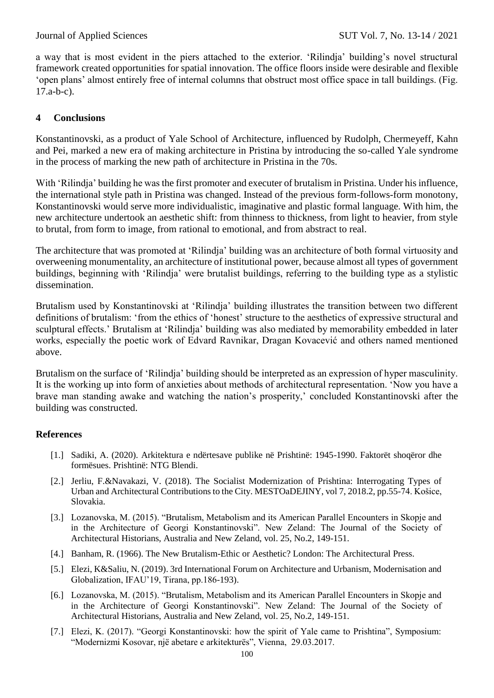a way that is most evident in the piers attached to the exterior. 'Rilindja' building's novel structural framework created opportunities for spatial innovation. The office floors inside were desirable and flexible 'open plans' almost entirely free of internal columns that obstruct most office space in tall buildings. (Fig. 17.a-b-c).

# **4 Conclusions**

Konstantinovski, as a product of Yale School of Architecture, influenced by Rudolph, Chermeyeff, Kahn and Pei, marked a new era of making architecture in Pristina by introducing the so-called Yale syndrome in the process of marking the new path of architecture in Pristina in the 70s.

With 'Rilindja' building he was the first promoter and executer of brutalism in Pristina. Under his influence, the international style path in Pristina was changed. Instead of the previous form-follows-form monotony, Konstantinovski would serve more individualistic, imaginative and plastic formal language. With him, the new architecture undertook an aesthetic shift: from thinness to thickness, from light to heavier, from style to brutal, from form to image, from rational to emotional, and from abstract to real.

The architecture that was promoted at 'Rilindja' building was an architecture of both formal virtuosity and overweening monumentality, an architecture of institutional power, because almost all types of government buildings, beginning with 'Rilindja' were brutalist buildings, referring to the building type as a stylistic dissemination.

Brutalism used by Konstantinovski at 'Rilindja' building illustrates the transition between two different definitions of brutalism: 'from the ethics of 'honest' structure to the aesthetics of expressive structural and sculptural effects.' Brutalism at 'Rilindja' building was also mediated by memorability embedded in later works, especially the poetic work of Edvard Ravnikar, Dragan Kovacević and others named mentioned above.

Brutalism on the surface of 'Rilindja' building should be interpreted as an expression of hyper masculinity. It is the working up into form of anxieties about methods of architectural representation. 'Now you have a brave man standing awake and watching the nation's prosperity,' concluded Konstantinovski after the building was constructed.

# **References**

- [1.] Sadiki, A. (2020). Arkitektura e ndërtesave publike në Prishtinë: 1945-1990. Faktorët shoqëror dhe formësues. Prishtinë: NTG Blendi.
- [2.] Jerliu, F.&Navakazi, V. (2018). The Socialist Modernization of Prishtina: Interrogating Types of Urban and Architectural Contributions to the City. MESTOaDEJINY, vol 7, 2018.2, pp.55-74. Košice, Slovakia.
- [3.] Lozanovska, M. (2015). "Brutalism, Metabolism and its American Parallel Encounters in Skopje and in the Architecture of Georgi Konstantinovski". New Zeland: The Journal of the Society of Architectural Historians, Australia and New Zeland, vol. 25, No.2, 149-151.
- [4.] Banham, R. (1966). The New Brutalism-Ethic or Aesthetic? London: The Architectural Press.
- [5.] Elezi, K&Saliu, N. (2019). 3rd International Forum on Architecture and Urbanism, Modernisation and Globalization, IFAU'19, Tirana, pp.186-193).
- [6.] Lozanovska, M. (2015). "Brutalism, Metabolism and its American Parallel Encounters in Skopje and in the Architecture of Georgi Konstantinovski". New Zeland: The Journal of the Society of Architectural Historians, Australia and New Zeland, vol. 25, No.2, 149-151.
- [7.] Elezi, K. (2017). "Georgi Konstantinovski: how the spirit of Yale came to Prishtina", Symposium: "Modernizmi Kosovar, një abetare e arkitekturës", Vienna, 29.03.2017.